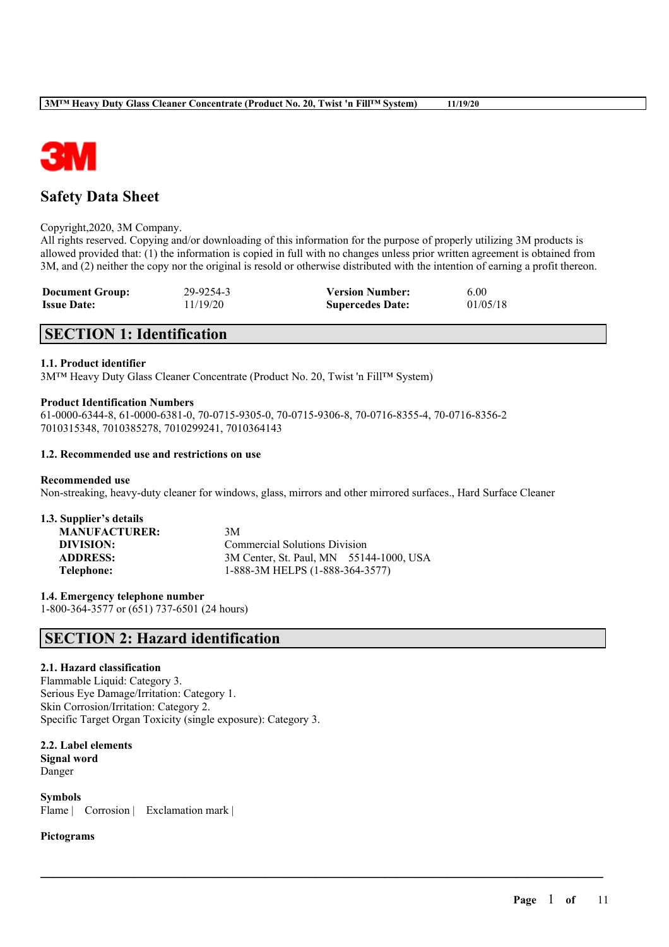

# **Safety Data Sheet**

#### Copyright,2020, 3M Company.

All rights reserved. Copying and/or downloading of this information for the purpose of properly utilizing 3M products is allowed provided that: (1) the information is copied in full with no changes unless prior written agreement is obtained from 3M, and (2) neither the copy nor the original is resold or otherwise distributed with the intention of earning a profit thereon.

| <b>Document Group:</b> | 29-9254-3 | <b>Version Number:</b>  | 6.00     |
|------------------------|-----------|-------------------------|----------|
| <b>Issue Date:</b>     | 11/19/20  | <b>Supercedes Date:</b> | 01/05/18 |

# **SECTION 1: Identification**

## **1.1. Product identifier**

3M™ Heavy Duty Glass Cleaner Concentrate (Product No. 20, Twist 'n Fill™ System)

#### **Product Identification Numbers**

61-0000-6344-8, 61-0000-6381-0, 70-0715-9305-0, 70-0715-9306-8, 70-0716-8355-4, 70-0716-8356-2 7010315348, 7010385278, 7010299241, 7010364143

#### **1.2. Recommended use and restrictions on use**

#### **Recommended use**

Non-streaking, heavy-duty cleaner for windows, glass, mirrors and other mirrored surfaces., Hard Surface Cleaner

| 1.3. Supplier's details |     |
|-------------------------|-----|
| <b>MANUFACTURER:</b>    | 3M  |
| DIVISION:               | Cot |
| <b>ADDRESS:</b>         | 3M  |
| Telephone:              | 1-8 |

**Commercial Solutions Division** 3M Center, St. Paul, MN 55144-1000, USA **Telephone:** 1-888-3M HELPS (1-888-364-3577)

 $\mathcal{L}_\mathcal{L} = \mathcal{L}_\mathcal{L} = \mathcal{L}_\mathcal{L} = \mathcal{L}_\mathcal{L} = \mathcal{L}_\mathcal{L} = \mathcal{L}_\mathcal{L} = \mathcal{L}_\mathcal{L} = \mathcal{L}_\mathcal{L} = \mathcal{L}_\mathcal{L} = \mathcal{L}_\mathcal{L} = \mathcal{L}_\mathcal{L} = \mathcal{L}_\mathcal{L} = \mathcal{L}_\mathcal{L} = \mathcal{L}_\mathcal{L} = \mathcal{L}_\mathcal{L} = \mathcal{L}_\mathcal{L} = \mathcal{L}_\mathcal{L}$ 

**1.4. Emergency telephone number** 1-800-364-3577 or (651) 737-6501 (24 hours)

# **SECTION 2: Hazard identification**

## **2.1. Hazard classification**

Flammable Liquid: Category 3. Serious Eye Damage/Irritation: Category 1. Skin Corrosion/Irritation: Category 2. Specific Target Organ Toxicity (single exposure): Category 3.

## **2.2. Label elements Signal word** Danger

**Symbols** Flame | Corrosion | Exclamation mark |

## **Pictograms**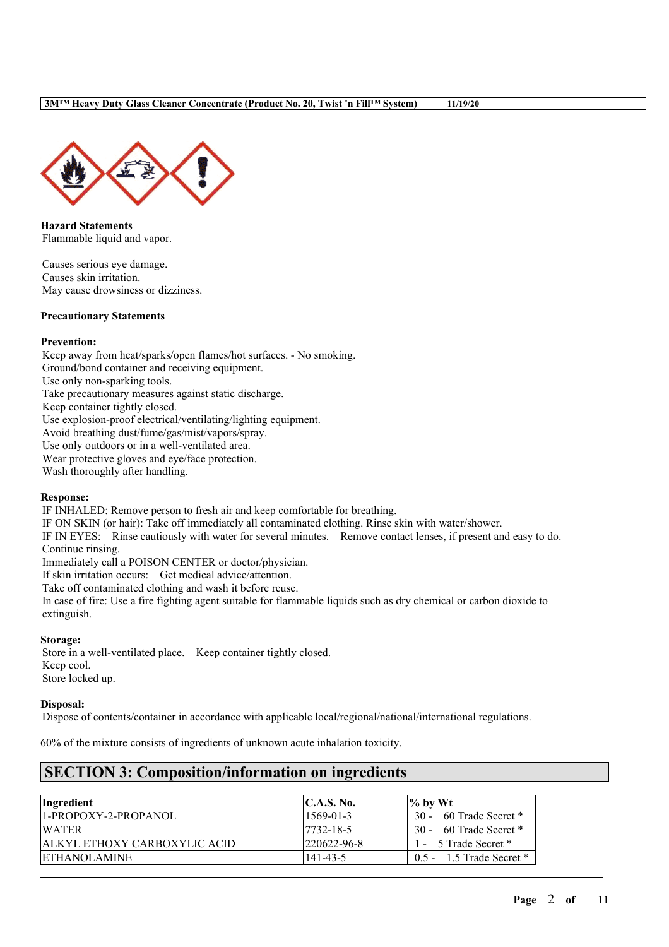

**Hazard Statements** Flammable liquid and vapor.

Causes serious eye damage. Causes skin irritation. May cause drowsiness or dizziness.

#### **Precautionary Statements**

## **Prevention:**

Keep away from heat/sparks/open flames/hot surfaces. - No smoking. Ground/bond container and receiving equipment. Use only non-sparking tools. Take precautionary measures against static discharge. Keep container tightly closed. Use explosion-proof electrical/ventilating/lighting equipment. Avoid breathing dust/fume/gas/mist/vapors/spray. Use only outdoors or in a well-ventilated area. Wear protective gloves and eye/face protection.

Wash thoroughly after handling.

#### **Response:**

IF INHALED: Remove person to fresh air and keep comfortable for breathing.

IF ON SKIN (or hair): Take off immediately all contaminated clothing. Rinse skin with water/shower.

IF IN EYES: Rinse cautiously with water for several minutes. Remove contact lenses, if present and easy to do. Continue rinsing.

Immediately call a POISON CENTER or doctor/physician.

If skin irritation occurs: Get medical advice/attention.

Take off contaminated clothing and wash it before reuse.

In case of fire: Use a fire fighting agent suitable for flammable liquids such as dry chemical or carbon dioxide to extinguish.

#### **Storage:**

Store in a well-ventilated place. Keep container tightly closed. Keep cool. Store locked up.

## **Disposal:**

Dispose of contents/container in accordance with applicable local/regional/national/international regulations.

60% of the mixture consists of ingredients of unknown acute inhalation toxicity.

# **SECTION 3: Composition/information on ingredients**

| <i>Ingredient</i>                   | C.A.S. No.         | $\frac{9}{6}$ by Wt          |
|-------------------------------------|--------------------|------------------------------|
| 11-PROPOXY-2-PROPANOL               | $1569 - 01 - 3$    | 30 - 60 Trade Secret *       |
| <b>WATER</b>                        | $17732 - 18 - 5$   | 30 - 60 Trade Secret *       |
| <b>ALKYL ETHOXY CARBOXYLIC ACID</b> | $1220622 - 96 - 8$ | 1 - 5 Trade Secret *         |
| <b>ETHANOLAMINE</b>                 | 141-43-5           | $0.5 - 1.5$ Trade Secret $*$ |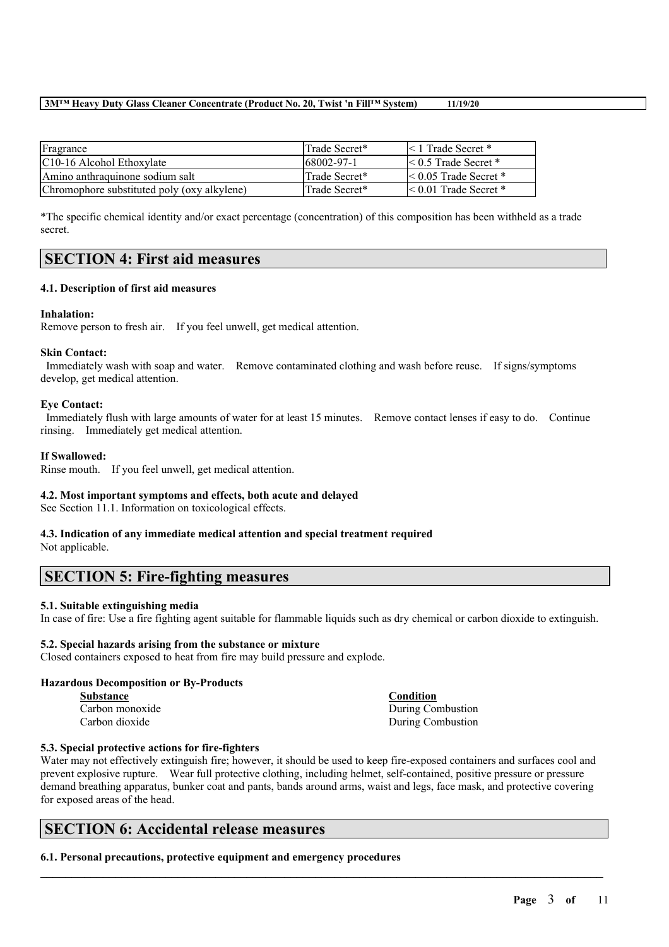| Fragrance                                   | Trade Secret* | $\leq 1$ Trade Secret *    |
|---------------------------------------------|---------------|----------------------------|
| C <sub>10</sub> -16 Alcohol Ethoxylate      | 68002-97-1    | $\leq 0.5$ Trade Secret *  |
| Amino anthraquinone sodium salt             | Trade Secret* | $\leq 0.05$ Trade Secret * |
| Chromophore substituted poly (oxy alkylene) | Trade Secret* | $\leq 0.01$ Trade Secret * |

\*The specific chemical identity and/or exact percentage (concentration) of this composition has been withheld as a trade secret.

## **SECTION 4: First aid measures**

## **4.1. Description of first aid measures**

## **Inhalation:**

Remove person to fresh air. If you feel unwell, get medical attention.

#### **Skin Contact:**

Immediately wash with soap and water. Remove contaminated clothing and wash before reuse. If signs/symptoms develop, get medical attention.

#### **Eye Contact:**

Immediately flush with large amounts of water for at least 15 minutes. Remove contact lenses if easy to do. Continue rinsing. Immediately get medical attention.

## **If Swallowed:**

Rinse mouth. If you feel unwell, get medical attention.

## **4.2. Most important symptoms and effects, both acute and delayed**

See Section 11.1. Information on toxicological effects.

#### **4.3. Indication of any immediate medical attention and special treatment required** Not applicable.

## **SECTION 5: Fire-fighting measures**

## **5.1. Suitable extinguishing media**

In case of fire: Use a fire fighting agent suitable for flammable liquids such as dry chemical or carbon dioxide to extinguish.

## **5.2. Special hazards arising from the substance or mixture**

Closed containers exposed to heat from fire may build pressure and explode.

#### **Hazardous Decomposition or By-Products**

| <b>Substance</b> |  |
|------------------|--|
| Carbon monoxide  |  |
| Carbon dioxide   |  |

**Substance Condition** During Combustion During Combustion

## **5.3. Special protective actions for fire-fighters**

Water may not effectively extinguish fire; however, it should be used to keep fire-exposed containers and surfaces cool and prevent explosive rupture. Wear full protective clothing, including helmet, self-contained, positive pressure or pressure demand breathing apparatus, bunker coat and pants, bands around arms, waist and legs, face mask, and protective covering for exposed areas of the head.

 $\mathcal{L}_\mathcal{L} = \mathcal{L}_\mathcal{L} = \mathcal{L}_\mathcal{L} = \mathcal{L}_\mathcal{L} = \mathcal{L}_\mathcal{L} = \mathcal{L}_\mathcal{L} = \mathcal{L}_\mathcal{L} = \mathcal{L}_\mathcal{L} = \mathcal{L}_\mathcal{L} = \mathcal{L}_\mathcal{L} = \mathcal{L}_\mathcal{L} = \mathcal{L}_\mathcal{L} = \mathcal{L}_\mathcal{L} = \mathcal{L}_\mathcal{L} = \mathcal{L}_\mathcal{L} = \mathcal{L}_\mathcal{L} = \mathcal{L}_\mathcal{L}$ 

## **SECTION 6: Accidental release measures**

**6.1. Personal precautions, protective equipment and emergency procedures**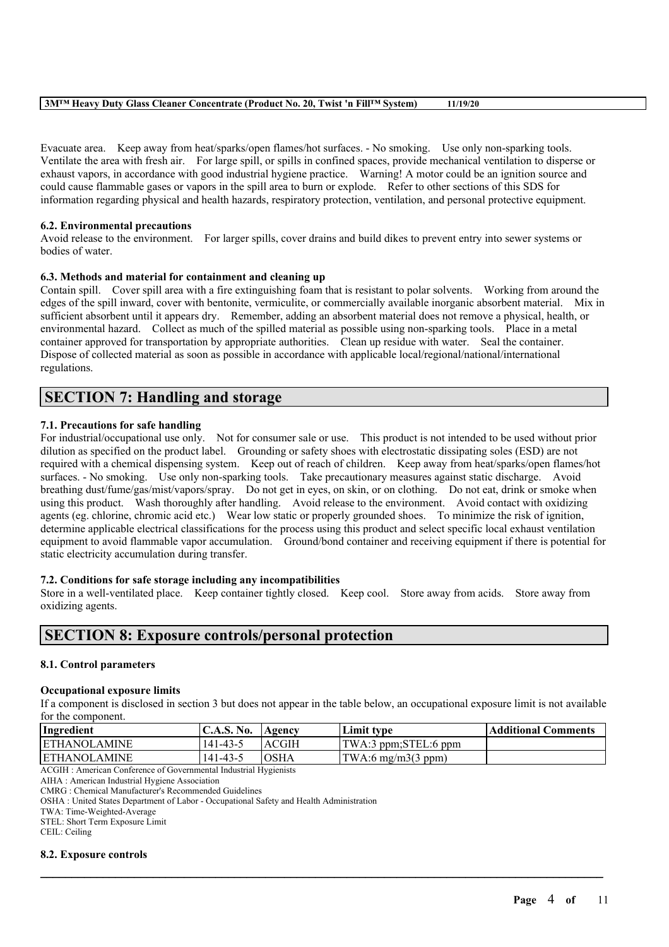Evacuate area. Keep away from heat/sparks/open flames/hot surfaces. - No smoking. Use only non-sparking tools. Ventilate the area with fresh air. For large spill, or spills in confined spaces, provide mechanical ventilation to disperse or exhaust vapors, in accordance with good industrial hygiene practice. Warning! A motor could be an ignition source and could cause flammable gases or vapors in the spill area to burn or explode. Refer to other sections of this SDS for information regarding physical and health hazards, respiratory protection, ventilation, and personal protective equipment.

## **6.2. Environmental precautions**

Avoid release to the environment. For larger spills, cover drains and build dikes to prevent entry into sewer systems or bodies of water.

## **6.3. Methods and material for containment and cleaning up**

Contain spill. Cover spill area with a fire extinguishing foam that is resistant to polar solvents. Working from around the edges of the spill inward, cover with bentonite, vermiculite, or commercially available inorganic absorbent material. Mix in sufficient absorbent until it appears dry. Remember, adding an absorbent material does not remove a physical, health, or environmental hazard. Collect as much of the spilled material as possible using non-sparking tools. Place in a metal container approved for transportation by appropriate authorities. Clean up residue with water. Seal the container. Dispose of collected material as soon as possible in accordance with applicable local/regional/national/international regulations.

# **SECTION 7: Handling and storage**

## **7.1. Precautions for safe handling**

For industrial/occupational use only. Not for consumer sale or use. This product is not intended to be used without prior dilution as specified on the product label. Grounding or safety shoes with electrostatic dissipating soles (ESD) are not required with a chemical dispensing system. Keep out of reach of children. Keep away from heat/sparks/open flames/hot surfaces. - No smoking. Use only non-sparking tools. Take precautionary measures against static discharge. Avoid breathing dust/fume/gas/mist/vapors/spray. Do not get in eyes, on skin, or on clothing. Do not eat, drink or smoke when using this product. Wash thoroughly after handling. Avoid release to the environment. Avoid contact with oxidizing agents (eg. chlorine, chromic acid etc.) Wear low static or properly grounded shoes. To minimize the risk of ignition, determine applicable electrical classifications for the process using this product and select specific local exhaust ventilation equipment to avoid flammable vapor accumulation. Ground/bond container and receiving equipment if there is potential for static electricity accumulation during transfer.

## **7.2. Conditions for safe storage including any incompatibilities**

Store in a well-ventilated place. Keep container tightly closed. Keep cool. Store away from acids. Store away from oxidizing agents.

# **SECTION 8: Exposure controls/personal protection**

## **8.1. Control parameters**

## **Occupational exposure limits**

If a component is disclosed in section 3 but does not appear in the table below, an occupational exposure limit is not available for the component.

| Ingredient           | $\mathsf{IC.A.S.}\,\mathsf{No.}$ | 'Agency      | Limit type                          | Additional Comments |
|----------------------|----------------------------------|--------------|-------------------------------------|---------------------|
| <b>IETHANOLAMINE</b> | 141-43-5                         | ACGIH        | TWA:3 ppm;STEL:6 ppm                |                     |
| <b>ETHANOLAMINE</b>  | $141 - 43 - 5$                   | <b>IOSHA</b> | $\text{TWA:6 mg/m3}(3 \text{ ppm})$ |                     |
|                      |                                  |              |                                     |                     |

 $\mathcal{L}_\mathcal{L} = \mathcal{L}_\mathcal{L} = \mathcal{L}_\mathcal{L} = \mathcal{L}_\mathcal{L} = \mathcal{L}_\mathcal{L} = \mathcal{L}_\mathcal{L} = \mathcal{L}_\mathcal{L} = \mathcal{L}_\mathcal{L} = \mathcal{L}_\mathcal{L} = \mathcal{L}_\mathcal{L} = \mathcal{L}_\mathcal{L} = \mathcal{L}_\mathcal{L} = \mathcal{L}_\mathcal{L} = \mathcal{L}_\mathcal{L} = \mathcal{L}_\mathcal{L} = \mathcal{L}_\mathcal{L} = \mathcal{L}_\mathcal{L}$ 

ACGIH : American Conference of Governmental Industrial Hygienists

AIHA : American Industrial Hygiene Association

CMRG : Chemical Manufacturer's Recommended Guidelines

OSHA : United States Department of Labor - Occupational Safety and Health Administration

TWA: Time-Weighted-Average

STEL: Short Term Exposure Limit

CEIL: Ceiling

#### **8.2. Exposure controls**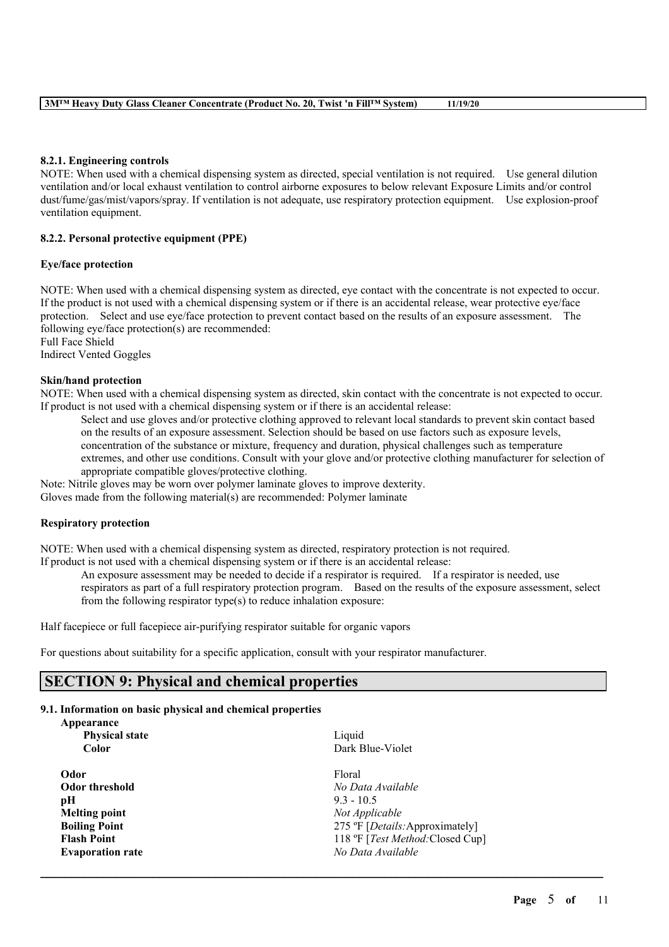## **8.2.1. Engineering controls**

NOTE: When used with a chemical dispensing system as directed, special ventilation is not required. Use general dilution ventilation and/or local exhaust ventilation to control airborne exposures to below relevant Exposure Limits and/or control dust/fume/gas/mist/vapors/spray. If ventilation is not adequate, use respiratory protection equipment. Use explosion-proof ventilation equipment.

## **8.2.2. Personal protective equipment (PPE)**

## **Eye/face protection**

NOTE: When used with a chemical dispensing system as directed, eye contact with the concentrate is not expected to occur. If the product is not used with a chemical dispensing system or if there is an accidental release, wear protective eye/face protection. Select and use eye/face protection to prevent contact based on the results of an exposure assessment. The following eye/face protection(s) are recommended: Full Face Shield

Indirect Vented Goggles

## **Skin/hand protection**

NOTE: When used with a chemical dispensing system as directed, skin contact with the concentrate is not expected to occur. If product is not used with a chemical dispensing system or if there is an accidental release:

Select and use gloves and/or protective clothing approved to relevant local standards to prevent skin contact based on the results of an exposure assessment. Selection should be based on use factors such as exposure levels, concentration of the substance or mixture, frequency and duration, physical challenges such as temperature extremes, and other use conditions. Consult with your glove and/or protective clothing manufacturer for selection of appropriate compatible gloves/protective clothing.

Note: Nitrile gloves may be worn over polymer laminate gloves to improve dexterity.

Gloves made from the following material(s) are recommended: Polymer laminate

## **Respiratory protection**

NOTE: When used with a chemical dispensing system as directed, respiratory protection is not required.

If product is not used with a chemical dispensing system or if there is an accidental release:

An exposure assessment may be needed to decide if a respirator is required. If a respirator is needed, use

 $\mathcal{L}_\mathcal{L} = \mathcal{L}_\mathcal{L} = \mathcal{L}_\mathcal{L} = \mathcal{L}_\mathcal{L} = \mathcal{L}_\mathcal{L} = \mathcal{L}_\mathcal{L} = \mathcal{L}_\mathcal{L} = \mathcal{L}_\mathcal{L} = \mathcal{L}_\mathcal{L} = \mathcal{L}_\mathcal{L} = \mathcal{L}_\mathcal{L} = \mathcal{L}_\mathcal{L} = \mathcal{L}_\mathcal{L} = \mathcal{L}_\mathcal{L} = \mathcal{L}_\mathcal{L} = \mathcal{L}_\mathcal{L} = \mathcal{L}_\mathcal{L}$ 

respirators as part of a full respiratory protection program. Based on the results of the exposure assessment, select from the following respirator type(s) to reduce inhalation exposure:

Half facepiece or full facepiece air-purifying respirator suitable for organic vapors

For questions about suitability for a specific application, consult with your respirator manufacturer.

# **SECTION 9: Physical and chemical properties**

## **9.1. Information on basic physical and chemical properties**

| Appearance              |                                          |
|-------------------------|------------------------------------------|
| <b>Physical state</b>   | Liquid                                   |
| <b>Color</b>            | Dark Blue-Violet                         |
| Odor                    | Floral                                   |
| Odor threshold          | No Data Available                        |
| pН                      | $9.3 - 10.5$                             |
| <b>Melting point</b>    | Not Applicable                           |
| <b>Boiling Point</b>    | 275 °F [ <i>Details</i> : Approximately] |
| <b>Flash Point</b>      | 118 °F [Test Method: Closed Cup]         |
| <b>Evaporation rate</b> | No Data Available                        |
|                         |                                          |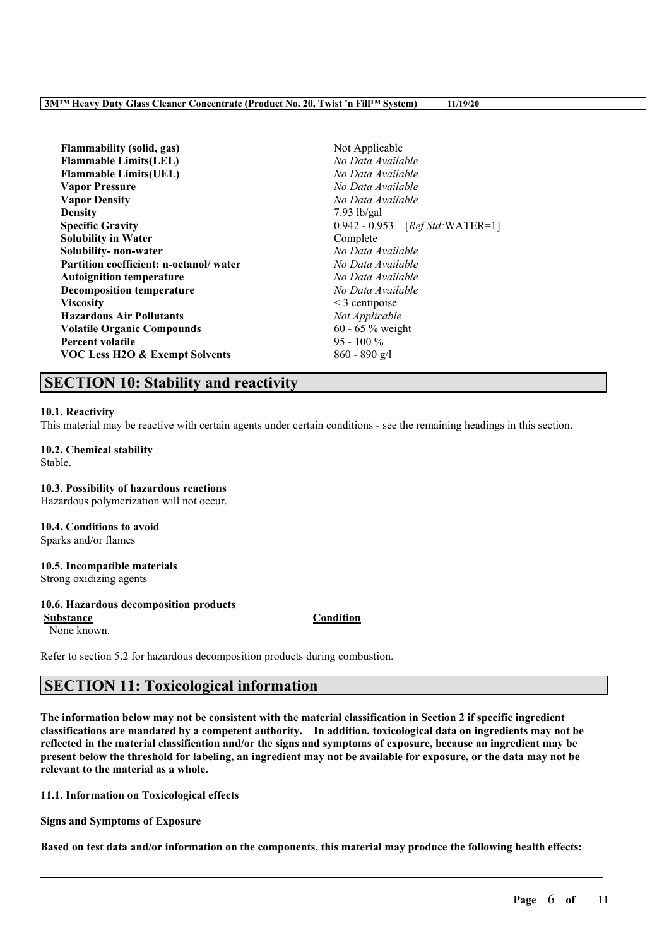| <b>Flammability</b> (solid, gas)          | Not Applicable                             |  |
|-------------------------------------------|--------------------------------------------|--|
| <b>Flammable Limits(LEL)</b>              | No Data Available                          |  |
| <b>Flammable Limits (UEL)</b>             | No Data Available                          |  |
| <b>Vapor Pressure</b>                     | No Data Available                          |  |
| <b>Vapor Density</b>                      | No Data Available                          |  |
| <b>Density</b>                            | $7.93$ lb/gal                              |  |
| <b>Specific Gravity</b>                   | $0.942 - 0.953$ [ <i>Ref Std:</i> WATER=1] |  |
| <b>Solubility in Water</b>                | Complete                                   |  |
| Solubility-non-water                      | No Data Available                          |  |
| Partition coefficient: n-octanol/water    | No Data Available                          |  |
| <b>Autoignition temperature</b>           | No Data Available                          |  |
| <b>Decomposition temperature</b>          | No Data Available                          |  |
| <b>Viscosity</b>                          | $\leq$ 3 centipoise                        |  |
| <b>Hazardous Air Pollutants</b>           | Not Applicable                             |  |
| <b>Volatile Organic Compounds</b>         | 60 - 65 $%$ weight                         |  |
| <b>Percent volatile</b>                   | $95 - 100\%$                               |  |
| <b>VOC Less H2O &amp; Exempt Solvents</b> | $860 - 890$ g/l                            |  |

## **SECTION 10: Stability and reactivity**

#### **10.1. Reactivity**

This material may be reactive with certain agents under certain conditions - see the remaining headings in this section.

## **10.2. Chemical stability**

Stable.

**10.3. Possibility of hazardous reactions** Hazardous polymerization will not occur.

**10.4. Conditions to avoid** Sparks and/or flames

#### **10.5. Incompatible materials**

Strong oxidizing agents

#### **10.6. Hazardous decomposition products**

None known.

**Substance Condition**

Refer to section 5.2 for hazardous decomposition products during combustion.

# **SECTION 11: Toxicological information**

The information below may not be consistent with the material classification in Section 2 if specific ingredient **classifications are mandated by a competent authority. In addition, toxicological data on ingredients may not be** reflected in the material classification and/or the signs and symptoms of exposure, because an ingredient may be present below the threshold for labeling, an ingredient may not be available for exposure, or the data may not be **relevant to the material as a whole.**

**11.1. Information on Toxicological effects**

**Signs and Symptoms of Exposure**

Based on test data and/or information on the components, this material may produce the following health effects: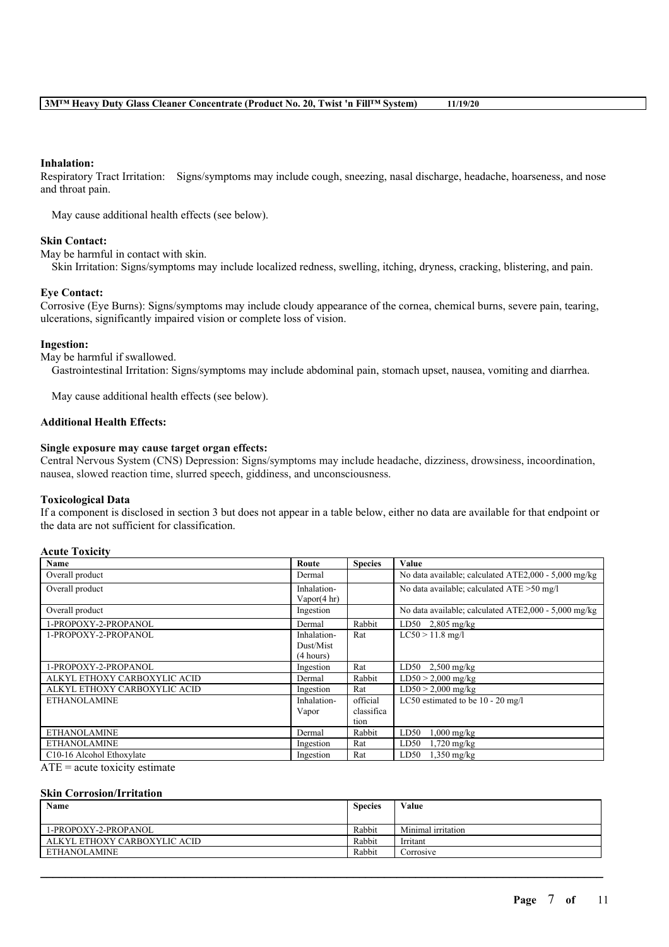## **Inhalation:**

Respiratory Tract Irritation: Signs/symptoms may include cough, sneezing, nasal discharge, headache, hoarseness, and nose and throat pain.

May cause additional health effects (see below).

## **Skin Contact:**

May be harmful in contact with skin.

Skin Irritation: Signs/symptoms may include localized redness, swelling, itching, dryness, cracking, blistering, and pain.

## **Eye Contact:**

Corrosive (Eye Burns): Signs/symptoms may include cloudy appearance of the cornea, chemical burns, severe pain, tearing, ulcerations, significantly impaired vision or complete loss of vision.

#### **Ingestion:**

May be harmful if swallowed.

Gastrointestinal Irritation: Signs/symptoms may include abdominal pain, stomach upset, nausea, vomiting and diarrhea.

May cause additional health effects (see below).

#### **Additional Health Effects:**

#### **Single exposure may cause target organ effects:**

Central Nervous System (CNS) Depression: Signs/symptoms may include headache, dizziness, drowsiness, incoordination, nausea, slowed reaction time, slurred speech, giddiness, and unconsciousness.

#### **Toxicological Data**

If a component is disclosed in section 3 but does not appear in a table below, either no data are available for that endpoint or the data are not sufficient for classification.

#### **Acute Toxicity**

| Name                         | Route                  | <b>Species</b> | Value                                                |
|------------------------------|------------------------|----------------|------------------------------------------------------|
| Overall product              | Dermal                 |                | No data available; calculated ATE2,000 - 5,000 mg/kg |
| Overall product              | Inhalation-            |                | No data available; calculated ATE > 50 mg/l          |
|                              | Vapor $(4 \text{ hr})$ |                |                                                      |
| Overall product              | Ingestion              |                | No data available; calculated ATE2,000 - 5,000 mg/kg |
| 1-PROPOXY-2-PROPANOL         | Dermal                 | Rabbit         | LD50 $2,805$ mg/kg                                   |
| 1-PROPOXY-2-PROPANOL         | Inhalation-            | Rat            | $LC50 > 11.8$ mg/l                                   |
|                              | Dust/Mist              |                |                                                      |
|                              | (4 hours)              |                |                                                      |
| 1-PROPOXY-2-PROPANOL         | Ingestion              | Rat            | LD50<br>$2,500$ mg/kg                                |
| ALKYL ETHOXY CARBOXYLIC ACID | Dermal                 | Rabbit         | $LD50 > 2,000$ mg/kg                                 |
| ALKYL ETHOXY CARBOXYLIC ACID | Ingestion              | Rat            | $LD50 > 2,000$ mg/kg                                 |
| <b>ETHANOLAMINE</b>          | Inhalation-            | official       | LC50 estimated to be 10 - 20 mg/l                    |
|                              | Vapor                  | classifica     |                                                      |
|                              |                        | tion           |                                                      |
| <b>ETHANOLAMINE</b>          | Dermal                 | Rabbit         | LD50<br>$0.000$ mg/kg                                |
| <b>ETHANOLAMINE</b>          | Ingestion              | Rat            | LD50<br>$1,720$ mg/kg                                |
| C10-16 Alcohol Ethoxylate    | Ingestion              | Rat            | LD50<br>$1,350$ mg/kg                                |

ATE = acute toxicity estimate

## **Skin Corrosion/Irritation**

| Name                         | <b>Species</b> | Value              |
|------------------------------|----------------|--------------------|
| 1-PROPOXY-2-PROPANOL         | Rabbit         | Minimal irritation |
| ALKYL ETHOXY CARBOXYLIC ACID | Rabbit         | Irritant           |
| ETHANOLAMINE                 | Rabbit         | Corrosive          |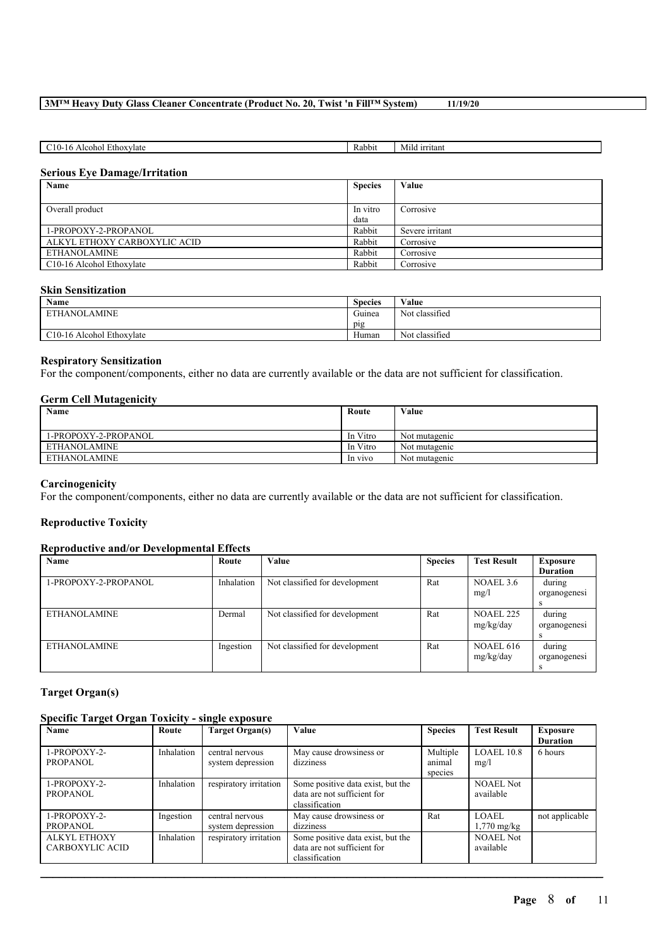| ≾thox∨late<br>ohol<br>$\Delta$ IC<br>$\cdot$ $\cdot$<br>.<br>л. | Rabbit | irritant<br>Milo |
|-----------------------------------------------------------------|--------|------------------|
|                                                                 |        |                  |

## **Serious Eye Damage/Irritation**

| Name                                   | <b>Species</b> | Value           |
|----------------------------------------|----------------|-----------------|
|                                        |                |                 |
| Overall product                        | In vitro       | Corrosive       |
|                                        | data           |                 |
| 1-PROPOXY-2-PROPANOL                   | Rabbit         | Severe irritant |
| ALKYL ETHOXY CARBOXYLIC ACID           | Rabbit         | Corrosive       |
| ETHANOLAMINE                           | Rabbit         | Corrosive       |
| C <sub>10</sub> -16 Alcohol Ethoxylate | Rabbit         | Corrosive       |

## **Skin Sensitization**

| Name                                   | <b>Species</b>          | Value          |
|----------------------------------------|-------------------------|----------------|
| <b>AMINE</b><br><b>ETHANOLA</b>        | $\sim$ $\sim$<br>Guinea | Not classified |
|                                        | pig                     |                |
| C <sub>10</sub> -16 Alcohol Ethoxylate | Human                   | Not classified |

#### **Respiratory Sensitization**

For the component/components, either no data are currently available or the data are not sufficient for classification.

## **Germ Cell Mutagenicity**

| Name                 | Route    | Value         |
|----------------------|----------|---------------|
|                      |          |               |
| 1-PROPOXY-2-PROPANOL | In Vitro | Not mutagenic |
| ETHANOLAMINE         | In Vitro | Not mutagenic |
| <b>ETHANOLAMINE</b>  | In vivo  | Not mutagenic |

#### **Carcinogenicity**

For the component/components, either no data are currently available or the data are not sufficient for classification.

## **Reproductive Toxicity**

## **Reproductive and/or Developmental Effects**

| Name                 | Route      | Value                          | <b>Species</b> | <b>Test Result</b> | Exposure        |
|----------------------|------------|--------------------------------|----------------|--------------------|-----------------|
|                      |            |                                |                |                    | <b>Duration</b> |
| 1-PROPOXY-2-PROPANOL | Inhalation | Not classified for development | Rat            | NOAEL 3.6          | during          |
|                      |            |                                |                | mg/l               | organogenesi    |
|                      |            |                                |                |                    |                 |
| <b>ETHANOLAMINE</b>  | Dermal     | Not classified for development | Rat            | <b>NOAEL 225</b>   | during          |
|                      |            |                                |                | mg/kg/day          | organogenesi    |
|                      |            |                                |                |                    |                 |
| <b>ETHANOLAMINE</b>  | Ingestion  | Not classified for development | Rat            | <b>NOAEL 616</b>   | during          |
|                      |            |                                |                | mg/kg/day          | organogenesi    |
|                      |            |                                |                |                    |                 |

## **Target Organ(s)**

## **Specific Target Organ Toxicity - single exposure**

| Name                                          | Route      | Target Organ(s)                      | Value                                                                              | <b>Species</b>                | <b>Test Result</b>                    | Exposure<br><b>Duration</b> |
|-----------------------------------------------|------------|--------------------------------------|------------------------------------------------------------------------------------|-------------------------------|---------------------------------------|-----------------------------|
| 1-PROPOXY-2-<br>PROPANOL                      | Inhalation | central nervous<br>system depression | May cause drowsiness or<br>dizziness                                               | Multiple<br>animal<br>species | LOAEL 10.8<br>mg/l                    | 6 hours                     |
| 1-PROPOXY-2-<br><b>PROPANOL</b>               | Inhalation | respiratory irritation               | Some positive data exist, but the<br>data are not sufficient for<br>classification |                               | <b>NOAEL Not</b><br>available         |                             |
| 1-PROPOXY-2-<br><b>PROPANOL</b>               | Ingestion  | central nervous<br>system depression | May cause drowsiness or<br>dizziness                                               | Rat                           | <b>LOAEL</b><br>$1,770 \text{ mg/kg}$ | not applicable              |
| <b>ALKYL ETHOXY</b><br><b>CARBOXYLIC ACID</b> | Inhalation | respiratory irritation               | Some positive data exist, but the<br>data are not sufficient for<br>classification |                               | <b>NOAEL Not</b><br>available         |                             |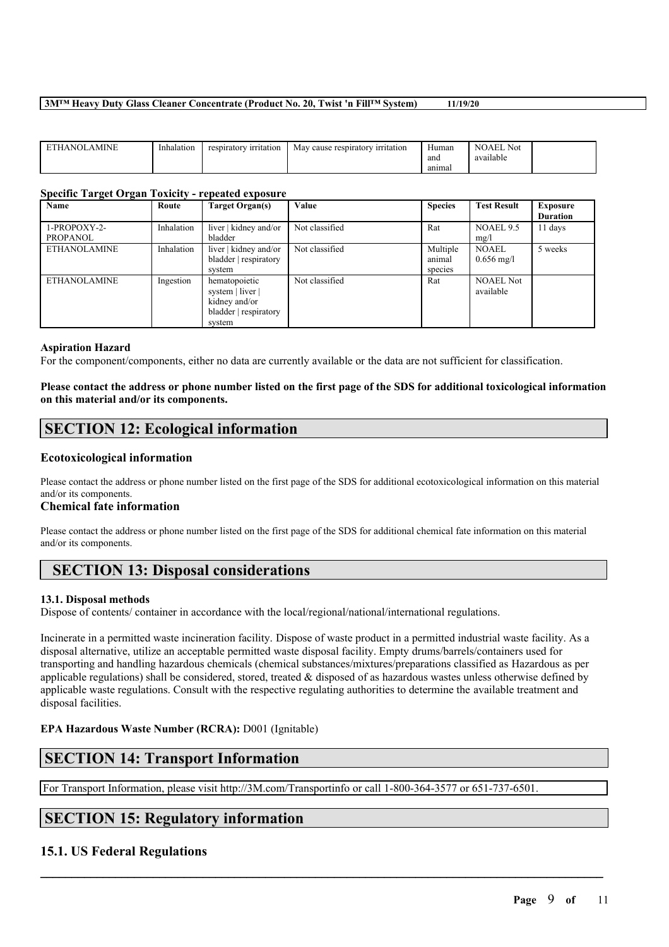| AMINE<br><b>DITT</b><br>NOI<br>HА | Inhalation | <sup>,</sup> irritation<br>respiratory | cause respiratory<br>∕ irritation<br>May | Human<br>and | Not<br>' NOAEL<br>. .<br>available |  |
|-----------------------------------|------------|----------------------------------------|------------------------------------------|--------------|------------------------------------|--|
|                                   |            |                                        |                                          | anımal       |                                    |  |

#### **Specific Target Organ Toxicity - repeated exposure**

| Name                | Route      | Target Organ(s)       | Value          | <b>Species</b> | <b>Test Result</b>   | <b>Exposure</b> |
|---------------------|------------|-----------------------|----------------|----------------|----------------------|-----------------|
|                     |            |                       |                |                |                      | <b>Duration</b> |
| 1-PROPOXY-2-        | Inhalation | liver   kidney and/or | Not classified | Rat            | NOAEL 9.5            | 11 days         |
| <b>PROPANOL</b>     |            | bladder               |                |                | mg/l                 |                 |
| <b>ETHANOLAMINE</b> | Inhalation | liver   kidney and/or | Not classified | Multiple       | <b>NOAEL</b>         | 5 weeks         |
|                     |            | bladder   respiratory |                | animal         | $0.656 \text{ mg/l}$ |                 |
|                     |            | system                |                | species        |                      |                 |
| <b>ETHANOLAMINE</b> | Ingestion  | hematopoietic         | Not classified | Rat            | <b>NOAEL Not</b>     |                 |
|                     |            | system   liver        |                |                | available            |                 |
|                     |            | kidney and/or         |                |                |                      |                 |
|                     |            | bladder   respiratory |                |                |                      |                 |
|                     |            | system                |                |                |                      |                 |

#### **Aspiration Hazard**

For the component/components, either no data are currently available or the data are not sufficient for classification.

## Please contact the address or phone number listed on the first page of the SDS for additional toxicological information **on this material and/or its components.**

# **SECTION 12: Ecological information**

## **Ecotoxicological information**

Please contact the address or phone number listed on the first page of the SDS for additional ecotoxicological information on this material and/or its components.

## **Chemical fate information**

Please contact the address or phone number listed on the first page of the SDS for additional chemical fate information on this material and/or its components.

# **SECTION 13: Disposal considerations**

## **13.1. Disposal methods**

Dispose of contents/ container in accordance with the local/regional/national/international regulations.

Incinerate in a permitted waste incineration facility. Dispose of waste product in a permitted industrial waste facility. As a disposal alternative, utilize an acceptable permitted waste disposal facility. Empty drums/barrels/containers used for transporting and handling hazardous chemicals (chemical substances/mixtures/preparations classified as Hazardous as per applicable regulations) shall be considered, stored, treated  $\&$  disposed of as hazardous wastes unless otherwise defined by applicable waste regulations. Consult with the respective regulating authorities to determine the available treatment and disposal facilities.

 $\mathcal{L}_\mathcal{L} = \mathcal{L}_\mathcal{L} = \mathcal{L}_\mathcal{L} = \mathcal{L}_\mathcal{L} = \mathcal{L}_\mathcal{L} = \mathcal{L}_\mathcal{L} = \mathcal{L}_\mathcal{L} = \mathcal{L}_\mathcal{L} = \mathcal{L}_\mathcal{L} = \mathcal{L}_\mathcal{L} = \mathcal{L}_\mathcal{L} = \mathcal{L}_\mathcal{L} = \mathcal{L}_\mathcal{L} = \mathcal{L}_\mathcal{L} = \mathcal{L}_\mathcal{L} = \mathcal{L}_\mathcal{L} = \mathcal{L}_\mathcal{L}$ 

## **EPA Hazardous Waste Number (RCRA):** D001 (Ignitable)

# **SECTION 14: Transport Information**

For Transport Information, please visit http://3M.com/Transportinfo or call 1-800-364-3577 or 651-737-6501.

# **SECTION 15: Regulatory information**

## **15.1. US Federal Regulations**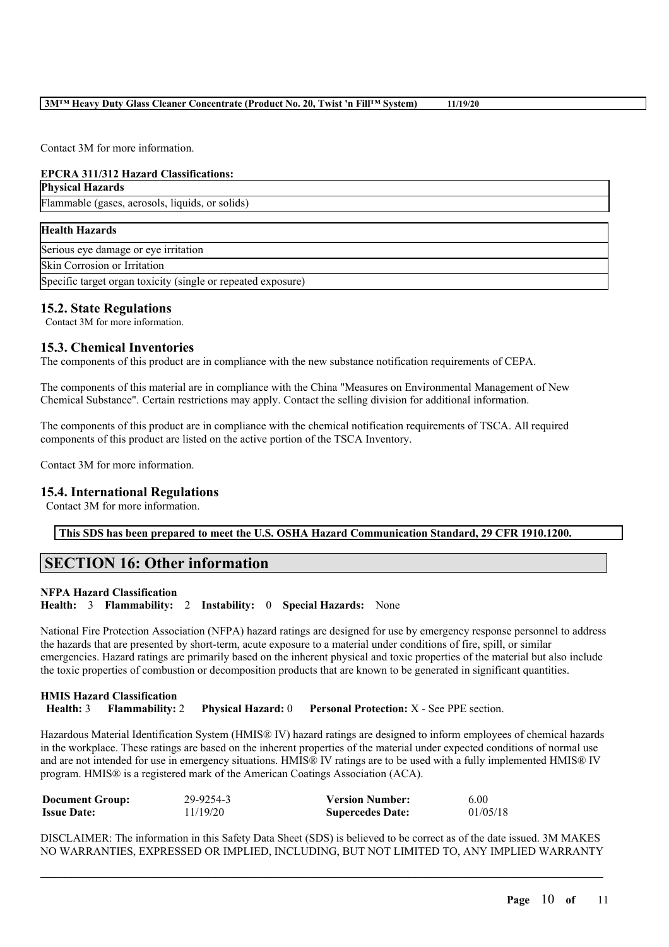Contact 3M for more information.

# **EPCRA 311/312 Hazard Classifications:**

**Physical Hazards**

Flammable (gases, aerosols, liquids, or solids)

## **Health Hazards**

Serious eye damage or eye irritation

Skin Corrosion or Irritation

Specific target organ toxicity (single or repeated exposure)

## **15.2. State Regulations**

Contact 3M for more information.

## **15.3. Chemical Inventories**

The components of this product are in compliance with the new substance notification requirements of CEPA.

The components of this material are in compliance with the China "Measures on Environmental Management of New Chemical Substance". Certain restrictions may apply. Contact the selling division for additional information.

The components of this product are in compliance with the chemical notification requirements of TSCA. All required components of this product are listed on the active portion of the TSCA Inventory.

Contact 3M for more information.

## **15.4. International Regulations**

Contact 3M for more information.

**This SDS has been prepared to meet the U.S. OSHA Hazard Communication Standard, 29 CFR 1910.1200.**

# **SECTION 16: Other information**

## **NFPA Hazard Classification**

**Health:** 3 **Flammability:** 2 **Instability:** 0 **Special Hazards:** None

National Fire Protection Association (NFPA) hazard ratings are designed for use by emergency response personnel to address the hazards that are presented by short-term, acute exposure to a material under conditions of fire, spill, or similar emergencies. Hazard ratings are primarily based on the inherent physical and toxic properties of the material but also include the toxic properties of combustion or decomposition products that are known to be generated in significant quantities.

## **HMIS Hazard Classification Health:** 3 **Flammability:** 2 **Physical Hazard:** 0 **Personal Protection:** X - See PPE section.

Hazardous Material Identification System (HMIS® IV) hazard ratings are designed to inform employees of chemical hazards in the workplace. These ratings are based on the inherent properties of the material under expected conditions of normal use and are not intended for use in emergency situations. HMIS® IV ratings are to be used with a fully implemented HMIS® IV program. HMIS® is a registered mark of the American Coatings Association (ACA).

| <b>Document Group:</b> | 29-9254-3 | <b>Version Number:</b>  | 6.00     |
|------------------------|-----------|-------------------------|----------|
| <b>Issue Date:</b>     | 11/19/20  | <b>Supercedes Date:</b> | 01/05/18 |

DISCLAIMER: The information in this Safety Data Sheet (SDS) is believed to be correct as of the date issued. 3M MAKES NO WARRANTIES, EXPRESSED OR IMPLIED, INCLUDING, BUT NOT LIMITED TO, ANY IMPLIED WARRANTY